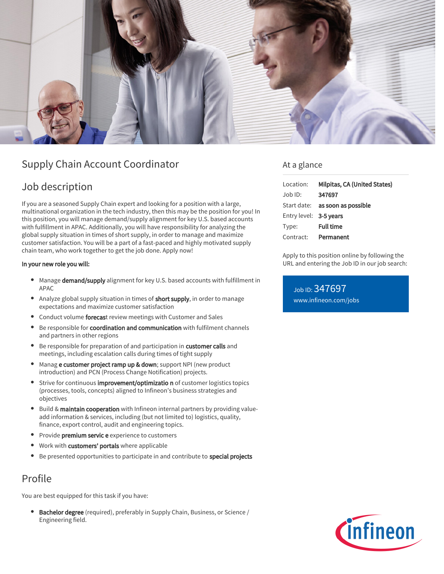

# Supply Chain Account Coordinator

# Job description

If you are a seasoned Supply Chain expert and looking for a position with a large, multinational organization in the tech industry, then this may be the position for you! In this position, you will manage demand/supply alignment for key U.S. based accounts with fulfillment in APAC. Additionally, you will have responsibility for analyzing the global supply situation in times of short supply, in order to manage and maximize customer satisfaction. You will be a part of a fast-paced and highly motivated supply chain team, who work together to get the job done. Apply now!

### In your new role you will:

- Manage demand/supply alignment for key U.S. based accounts with fulfillment in APAC
- Analyze global supply situation in times of **short supply**, in order to manage expectations and maximize customer satisfaction
- Conduct volume forecast review meetings with Customer and Sales
- Be responsible for coordination and communication with fulfilment channels and partners in other regions
- Be responsible for preparation of and participation in customer calls and meetings, including escalation calls during times of tight supply
- Manag e customer project ramp up & down; support NPI (new product introduction) and PCN (Process Change Notification) projects.
- Strive for continuous improvement/optimizatio n of customer logistics topics (processes, tools, concepts) aligned to Infineon's business strategies and objectives
- Build & maintain cooperation with Infineon internal partners by providing valueadd information & services, including (but not limited to) logistics, quality, finance, export control, audit and engineering topics.
- Provide **premium servic e** experience to customers
- Work with customers' portals where applicable
- Be presented opportunities to participate in and contribute to special projects

## Profile

You are best equipped for this task if you have:

Bachelor degree (required), preferably in Supply Chain, Business, or Science /  $\bullet$ Engineering field.

### At a glance

| Location:              | Milpitas, CA (United States)           |
|------------------------|----------------------------------------|
| $Job$ ID:              | 347697                                 |
|                        | Start date: <b>as soon as possible</b> |
| Entry level: 3-5 years |                                        |
| Type:                  | <b>Full time</b>                       |
| Contract:              | Permanent                              |

Apply to this position online by following the URL and entering the Job ID in our job search:

Job ID: 347697 [www.infineon.com/jobs](https://www.infineon.com/jobs)

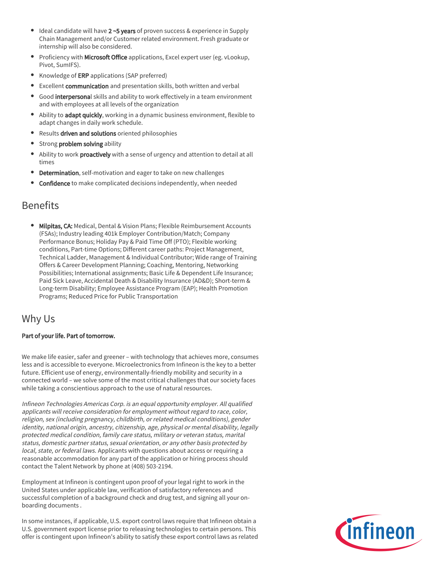- Ideal candidate will have 2~5 years of proven success & experience in Supply Chain Management and/or Customer related environment. Fresh graduate or internship will also be considered.
- **Proficiency with Microsoft Office** applications, Excel expert user (eg. vLookup, Pivot, SumIFS).
- Knowledge of ERP applications (SAP preferred)
- **Excellent communication** and presentation skills, both written and verbal
- Good interpersonal skills and ability to work effectively in a team environment and with employees at all levels of the organization
- Ability to adapt quickly, working in a dynamic business environment, flexible to adapt changes in daily work schedule.
- **•** Results driven and solutions oriented philosophies
- Strong problem solving ability
- Ability to work proactively with a sense of urgency and attention to detail at all times
- Determination, self-motivation and eager to take on new challenges
- Confidence to make complicated decisions independently, when needed

## Benefits

**Milpitas, CA:** Medical, Dental & Vision Plans; Flexible Reimbursement Accounts (FSAs); Industry leading 401k Employer Contribution/Match; Company Performance Bonus; Holiday Pay & Paid Time Off (PTO); Flexible working conditions, Part-time Options; Different career paths: Project Management, Technical Ladder, Management & Individual Contributor; Wide range of Training Offers & Career Development Planning; Coaching, Mentoring, Networking Possibilities; International assignments; Basic Life & Dependent Life Insurance; Paid Sick Leave, Accidental Death & Disability Insurance (AD&D); Short-term & Long-term Disability; Employee Assistance Program (EAP); Health Promotion Programs; Reduced Price for Public Transportation

## Why Us

### Part of your life. Part of tomorrow.

We make life easier, safer and greener – with technology that achieves more, consumes less and is accessible to everyone. Microelectronics from Infineon is the key to a better future. Efficient use of energy, environmentally-friendly mobility and security in a connected world – we solve some of the most critical challenges that our society faces while taking a conscientious approach to the use of natural resources.

Infineon Technologies Americas Corp. is an equal opportunity employer. All qualified applicants will receive consideration for employment without regard to race, color, religion, sex (including pregnancy, childbirth, or related medical conditions), gender identity, national origin, ancestry, citizenship, age, physical or mental disability, legally protected medical condition, family care status, military or veteran status, marital status, domestic partner status, sexual orientation, or any other basis protected by local, state, or federal laws. Applicants with questions about access or requiring a reasonable accommodation for any part of the application or hiring process should contact the Talent Network by phone at (408) 503-2194.

Employment at Infineon is contingent upon proof of your legal right to work in the United States under applicable law, verification of satisfactory references and successful completion of a background check and drug test, and signing all your onboarding documents .

In some instances, if applicable, U.S. export control laws require that Infineon obtain a U.S. government export license prior to releasing technologies to certain persons. This offer is contingent upon Infineon's ability to satisfy these export control laws as related